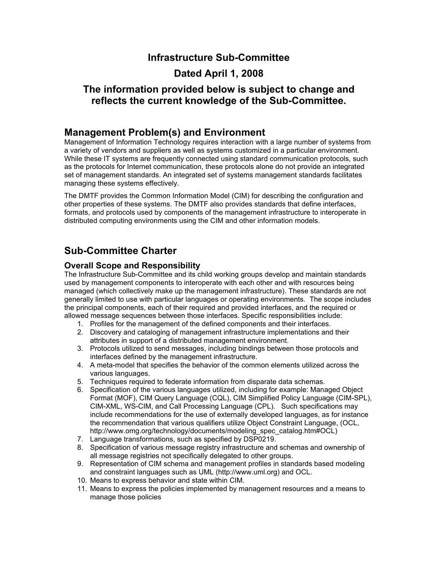# **Infrastructure Sub-Committee**

# **Dated April 1, 2008**

### **The information provided below is subject to change and reflects the current knowledge of the Sub-Committee.**

### **Management Problem(s) and Environment**

Management of Information Technology requires interaction with a large number of systems from a variety of vendors and suppliers as well as systems customized in a particular environment. While these IT systems are frequently connected using standard communication protocols, such as the protocols for Internet communication, these protocols alone do not provide an integrated set of management standards. An integrated set of systems management standards facilitates managing these systems effectively.

The DMTF provides the Common Information Model (CIM) for describing the configuration and other properties of these systems. The DMTF also provides standards that define interfaces, formats, and protocols used by components of the management infrastructure to interoperate in distributed computing environments using the CIM and other information models.

# **Sub-Committee Charter**

#### **Overall Scope and Responsibility**

The Infrastructure Sub-Committee and its child working groups develop and maintain standards used by management components to interoperate with each other and with resources being managed (which collectively make up the management infrastructure). These standards are not generally limited to use with particular languages or operating environments. The scope includes the principal components, each of their required and provided interfaces, and the required or allowed message sequences between those interfaces. Specific responsibilities include:

- 1. Profiles for the management of the defined components and their interfaces.
- 2. Discovery and cataloging of management infrastructure implementations and their attributes in support of a distributed management environment.
- 3. Protocols utilized to send messages, including bindings between those protocols and interfaces defined by the management infrastructure.
- 4. A meta-model that specifies the behavior of the common elements utilized across the various languages.
- 5. Techniques required to federate information from disparate data schemas.
- 6. Specification of the various languages utilized, including for example: Managed Object Format (MOF), CIM Query Language (CQL), CIM Simplified Policy Language (CIM-SPL), CIM-XML, WS-CIM, and Call Processing Language (CPL). Such specifications may include recommendations for the use of externally developed languages, as for instance the recommendation that various qualifiers utilize Object Constraint Language, (OCL, http://www.omg.org/technology/documents/modeling\_spec\_catalog.htm#OCL)
- 7. Language transformations, such as specified by DSP0219.
- 8. Specification of various message registry infrastructure and schemas and ownership of all message registries not specifically delegated to other groups.
- 9. Representation of CIM schema and management profiles in standards based modeling and constraint languages such as UML (http://www.uml.org) and OCL.
- 10. Means to express behavior and state within CIM.
- 11. Means to express the policies implemented by management resources and a means to manage those policies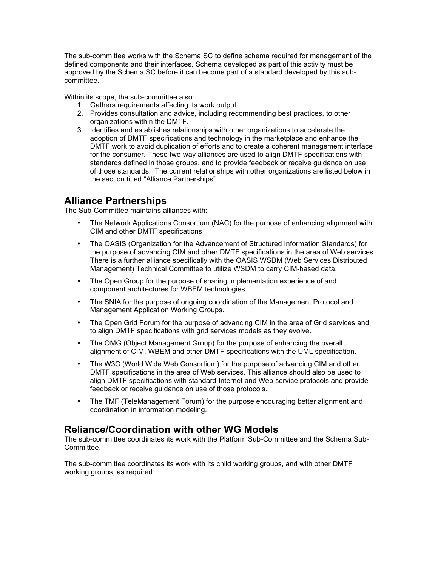The sub-committee works with the Schema SC to define schema required for management of the defined components and their interfaces. Schema developed as part of this activity must be approved by the Schema SC before it can become part of a standard developed by this subcommittee.

Within its scope, the sub-committee also:

- 1. Gathers requirements affecting its work output.
- 2. Provides consultation and advice, including recommending best practices, to other organizations within the DMTF.
- 3. Identifies and establishes relationships with other organizations to accelerate the adoption of DMTF specifications and technology in the marketplace and enhance the DMTF work to avoid duplication of efforts and to create a coherent management interface for the consumer. These two-way alliances are used to align DMTF specifications with standards defined in those groups, and to provide feedback or receive guidance on use of those standards, The current relationships with other organizations are listed below in the section titled "Alliance Partnerships"

#### **Alliance Partnerships**

The Sub-Committee maintains alliances with:

- The Network Applications Consortium (NAC) for the purpose of enhancing alignment with CIM and other DMTF specifications
- The OASIS (Organization for the Advancement of Structured Information Standards) for the purpose of advancing CIM and other DMTF specifications in the area of Web services. There is a further alliance specifically with the OASIS WSDM (Web Services Distributed Management) Technical Committee to utilize WSDM to carry CIM-based data.
- The Open Group for the purpose of sharing implementation experience of and component architectures for WBEM technologies.
- The SNIA for the purpose of ongoing coordination of the Management Protocol and Management Application Working Groups.
- The Open Grid Forum for the purpose of advancing CIM in the area of Grid services and to align DMTF specifications with grid services models as they evolve.
- The OMG (Object Management Group) for the purpose of enhancing the overall alignment of CIM, WBEM and other DMTF specifications with the UML specification.
- The W3C (World Wide Web Consortium) for the purpose of advancing CIM and other DMTF specifications in the area of Web services. This alliance should also be used to align DMTF specifications with standard Internet and Web service protocols and provide feedback or receive guidance on use of those protocols.
- The TMF (TeleManagement Forum) for the purpose encouraging better alignment and coordination in information modeling.

### **Reliance/Coordination with other WG Models**

The sub-committee coordinates its work with the Platform Sub-Committee and the Schema Sub-Committee.

The sub-committee coordinates its work with its child working groups, and with other DMTF working groups, as required.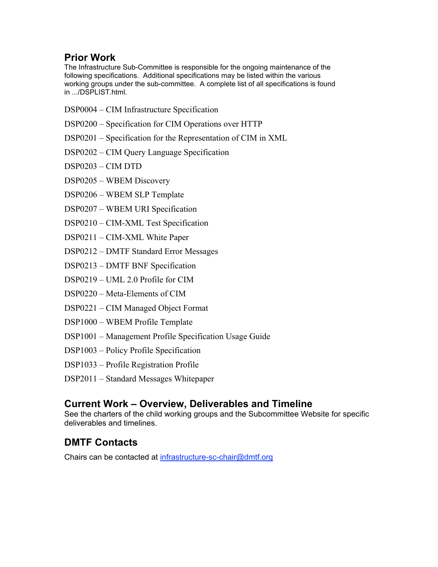# **Prior Work**

The Infrastructure Sub-Committee is responsible for the ongoing maintenance of the following specifications. Additional specifications may be listed within the various working groups under the sub-committee. A complete list of all specifications is found in .../DSPLIST.html.

- DSP0004 CIM Infrastructure Specification
- DSP0200 Specification for CIM Operations over HTTP
- DSP0201 Specification for the Representation of CIM in XML
- DSP0202 CIM Query Language Specification
- DSP0203 CIM DTD
- DSP0205 WBEM Discovery
- DSP0206 WBEM SLP Template
- DSP0207 WBEM URI Specification
- DSP0210 CIM-XML Test Specification
- DSP0211 CIM-XML White Paper
- DSP0212 DMTF Standard Error Messages
- DSP0213 DMTF BNF Specification
- DSP0219 UML 2.0 Profile for CIM
- DSP0220 Meta-Elements of CIM
- DSP0221 CIM Managed Object Format
- DSP1000 WBEM Profile Template
- DSP1001 Management Profile Specification Usage Guide
- DSP1003 Policy Profile Specification
- DSP1033 Profile Registration Profile
- DSP2011 Standard Messages Whitepaper

### **Current Work – Overview, Deliverables and Timeline**

See the charters of the child working groups and the Subcommittee Website for specific deliverables and timelines.

# **DMTF Contacts**

Chairs can be contacted at infrastructure-sc-chair@dmtf.org